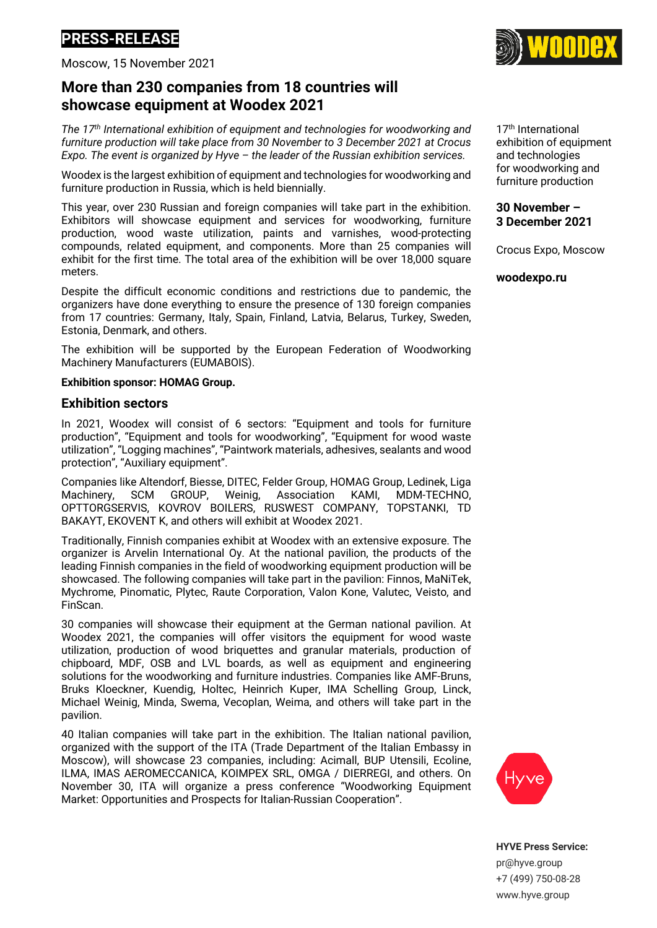# **PRESS-RELEASЕ**

Moscow, 15 November 2021

## **More than 230 companies from 18 countries will showcase equipment at Woodex 2021**

*The 17th International exhibition of equipment and technologies for woodworking and furniture production will take place from 30 November to 3 December 2021 at Crocus Expo. The event is organized by Hyve – the leader of the Russian exhibition services.*

Woodex is the largest exhibition of equipment and technologies for woodworking and furniture production in Russia, which is held biennially.

This year, over 230 Russian and foreign companies will take part in the exhibition. Exhibitors will showcase equipment and services for woodworking, furniture production, wood waste utilization, paints and varnishes, wood-protecting compounds, related equipment, and components. More than 25 companies will exhibit for the first time. The total area of the exhibition will be over 18,000 square meters.

Despite the difficult economic conditions and restrictions due to pandemic, the organizers have done everything to ensure the presence of 130 foreign companies from 17 countries: Germany, Italy, Spain, Finland, Latvia, Belarus, Turkey, Sweden, Estonia, Denmark, and others.

The exhibition will be supported by the European Federation of Woodworking Machinery Manufacturers (EUMABOIS).

#### **Exhibition sponsor: HOMAG Group.**

### **Exhibition sectors**

In 2021, Woodex will consist of 6 sectors: "Equipment and tools for furniture production", "Equipment and tools for woodworking", "Equipment for wood waste utilization", "Logging machines", "Paintwork materials, adhesives, sealants and wood protection", "Auxiliary equipment".

Companies like Altendorf, Biesse, DITEC, Felder Group, HOMAG Group, Ledinek, Liga Machinery, SCM GROUP, Weinig, Association KAMI, MDM-TECHNO, OPTTORGSERVIS, KOVROV BOILERS, RUSWEST COMPANY, TOPSTANKI, TD BAKAYT, EKOVENT K, and others will exhibit at Woodex 2021.

Traditionally, Finnish companies exhibit at Woodex with an extensive exposure. The organizer is Arvelin International Oy. At the national pavilion, the products of the leading Finnish companies in the field of woodworking equipment production will be showcased. The following companies will take part in the pavilion: Finnos, MaNiTek, Mychrome, Pinomatic, Plytec, Raute Corporation, Valon Kone, Valutec, Veisto, and FinScan.

30 companies will showcase their equipment at the German national pavilion. At Woodex 2021, the companies will offer visitors the equipment for wood waste utilization, production of wood briquettes and granular materials, production of chipboard, MDF, OSB and LVL boards, as well as equipment and engineering solutions for the woodworking and furniture industries. Companies like AMF-Bruns, Bruks Kloeckner, Kuendig, Holtec, Heinrich Kuper, IMA Schelling Group, Linck, Michael Weinig, Minda, Swema, Vecoplan, Weima, and others will take part in the pavilion.

40 Italian companies will take part in the exhibition. The Italian national pavilion, organized with the support of the ITA (Trade Department of the Italian Embassy in Moscow), will showcase 23 companies, including: Acimall, BUP Utensili, Ecoline, ILMA, IMAS AEROMECCANICA, KOIMPEX SRL, OMGA / DIERREGI, and others. On November 30, ITA will organize a press conference "Woodworking Equipment Market: Opportunities and Prospects for Italian-Russian Cooperation".

17th International exhibition of equipment and technologies for woodworking and furniture production

**30 November – 3 December 2021**

Crocus Expo, Moscow

**woodexpo.ru**





pr@hyve.group +7 (499) 750-08-28 www.hyve.group

**HYVE Press Service:**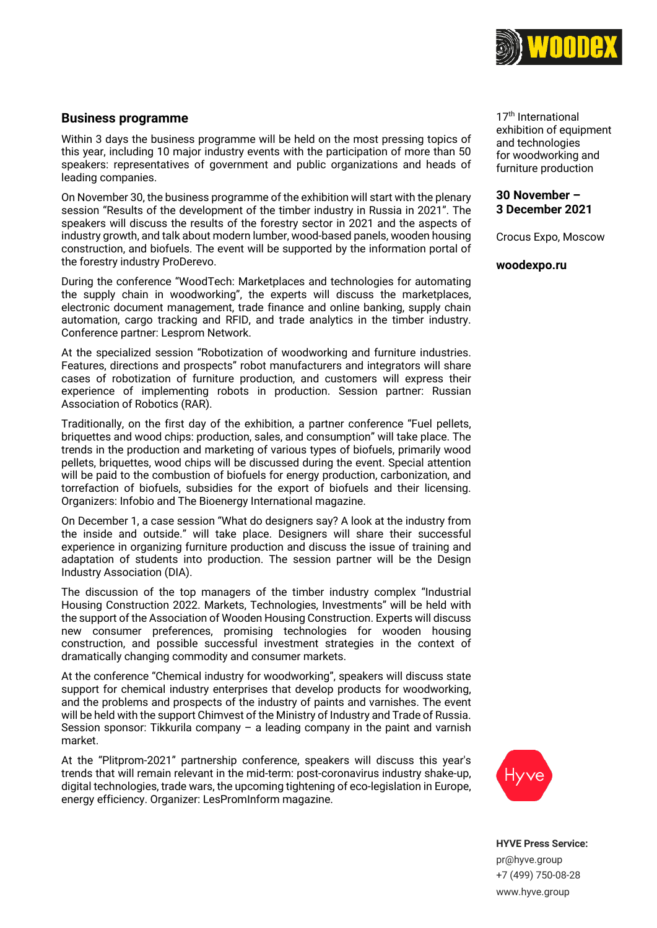

## **Business programme**

Within 3 days the business programme will be held on the most pressing topics of this year, including 10 major industry events with the participation of more than 50 speakers: representatives of government and public organizations and heads of leading companies.

On November 30, the business programme of the exhibition will start with the plenary session "Results of the development of the timber industry in Russia in 2021". The speakers will discuss the results of the forestry sector in 2021 and the aspects of industry growth, and talk about modern lumber, wood-based panels, wooden housing construction, and biofuels. The event will be supported by the information portal of the forestry industry ProDerevo.

During the conference "WoodTech: Marketplaces and technologies for automating the supply chain in woodworking", the experts will discuss the marketplaces, electronic document management, trade finance and online banking, supply chain automation, cargo tracking and RFID, and trade analytics in the timber industry. Conference partner: Lesprom Network.

At the specialized session "Robotization of woodworking and furniture industries. Features, directions and prospects" robot manufacturers and integrators will share cases of robotization of furniture production, and customers will express their experience of implementing robots in production. Session partner: Russian Association of Robotics (RAR).

Traditionally, on the first day of the exhibition, a partner conference "Fuel pellets, briquettes and wood chips: production, sales, and consumption" will take place. The trends in the production and marketing of various types of biofuels, primarily wood pellets, briquettes, wood chips will be discussed during the event. Special attention will be paid to the combustion of biofuels for energy production, carbonization, and torrefaction of biofuels, subsidies for the export of biofuels and their licensing. Organizers: Infobio and The Bioenergy International magazine.

On December 1, a case session "What do designers say? A look at the industry from the inside and outside." will take place. Designers will share their successful experience in organizing furniture production and discuss the issue of training and adaptation of students into production. The session partner will be the Design Industry Association (DIA).

The discussion of the top managers of the timber industry complex "Industrial Housing Construction 2022. Markets, Technologies, Investments" will be held with the support of the Association of Wooden Housing Construction. Experts will discuss new consumer preferences, promising technologies for wooden housing construction, and possible successful investment strategies in the context of dramatically changing commodity and consumer markets.

At the conference "Chemical industry for woodworking", speakers will discuss state support for chemical industry enterprises that develop products for woodworking, and the problems and prospects of the industry of paints and varnishes. The event will be held with the support Chimvest of the Ministry of Industry and Trade of Russia. Session sponsor: Tikkurila company – a leading company in the paint and varnish market.

At the "Plitprom-2021" partnership conference, speakers will discuss this year's trends that will remain relevant in the mid-term: post-coronavirus industry shake-up, digital technologies, trade wars, the upcoming tightening of eco-legislation in Europe, energy efficiency. Organizer: LesPromInform magazine.



17th International exhibition of equipment and technologies for woodworking and furniture production

#### **30 November – 3 December 2021**

Crocus Expo, Moscow

**woodexpo.ru**

**HYVE Press Service:** pr@hyve.group +7 (499) 750-08-28 www.hyve.group